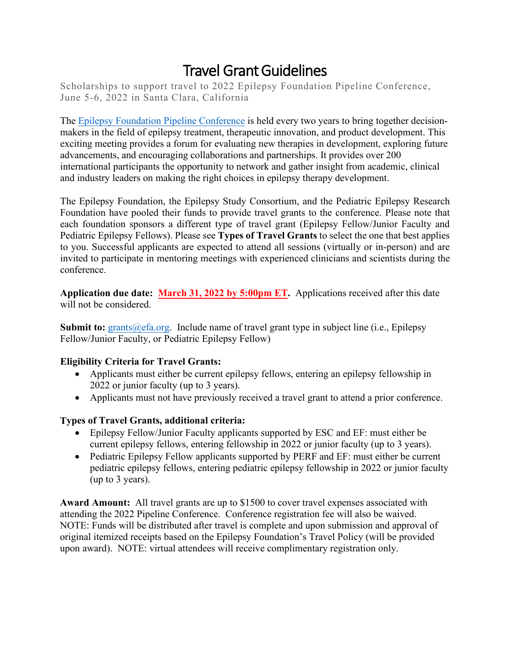# Travel Grant Guidelines

Scholarships to support travel to 2022 Epilepsy Foundation Pipeline Conference, June 5-6, 2022 in Santa Clara, California

The [Epilepsy Foundation Pipeline Conference](https://www.epilepsy.com/about-us/research-and-new-therapies/engagement/2022-epilepsy-pipeline-conference) is held every two years to bring together decisionmakers in the field of epilepsy treatment, therapeutic innovation, and product development. This exciting meeting provides a forum for evaluating new therapies in development, exploring future advancements, and encouraging collaborations and partnerships. It provides over 200 international participants the opportunity to network and gather insight from academic, clinical and industry leaders on making the right choices in epilepsy therapy development.

The Epilepsy Foundation, the Epilepsy Study Consortium, and the Pediatric Epilepsy Research Foundation have pooled their funds to provide travel grants to the conference. Please note that each foundation sponsors a different type of travel grant (Epilepsy Fellow/Junior Faculty and Pediatric Epilepsy Fellows). Please see **Types of Travel Grants** to select the one that best applies to you. Successful applicants are expected to attend all sessions (virtually or in-person) and are invited to participate in mentoring meetings with experienced clinicians and scientists during the conference.

**Application due date: March 31, 2022 by 5:00pm ET.** Applications received after this date will not be considered.

**Submit to:** [grants@efa.org.](mailto:grants@efa.org) Include name of travel grant type in subject line (i.e., Epilepsy Fellow/Junior Faculty, or Pediatric Epilepsy Fellow)

### **Eligibility Criteria for Travel Grants:**

- Applicants must either be current epilepsy fellows, entering an epilepsy fellowship in 2022 or junior faculty (up to 3 years).
- Applicants must not have previously received a travel grant to attend a prior conference.

#### **Types of Travel Grants, additional criteria:**

- Epilepsy Fellow/Junior Faculty applicants supported by ESC and EF: must either be current epilepsy fellows, entering fellowship in 2022 or junior faculty (up to 3 years).
- Pediatric Epilepsy Fellow applicants supported by PERF and EF: must either be current pediatric epilepsy fellows, entering pediatric epilepsy fellowship in 2022 or junior faculty (up to 3 years).

**Award Amount:** All travel grants are up to \$1500 to cover travel expenses associated with attending the 2022 Pipeline Conference. Conference registration fee will also be waived. NOTE: Funds will be distributed after travel is complete and upon submission and approval of original itemized receipts based on the Epilepsy Foundation's Travel Policy (will be provided upon award). NOTE: virtual attendees will receive complimentary registration only.